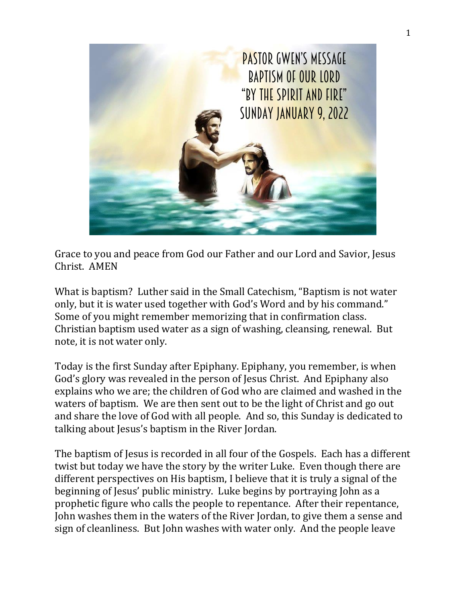

Grace to you and peace from God our Father and our Lord and Savior, Jesus Christ. AMEN

What is baptism? Luther said in the Small Catechism, "Baptism is not water only, but it is water used together with God's Word and by his command." Some of you might remember memorizing that in confirmation class. Christian baptism used water as a sign of washing, cleansing, renewal. But note, it is not water only.

Today is the first Sunday after Epiphany. Epiphany, you remember, is when God's glory was revealed in the person of Jesus Christ. And Epiphany also explains who we are; the children of God who are claimed and washed in the waters of baptism. We are then sent out to be the light of Christ and go out and share the love of God with all people. And so, this Sunday is dedicated to talking about Jesus's baptism in the River Jordan.

The baptism of Jesus is recorded in all four of the Gospels. Each has a different twist but today we have the story by the writer Luke. Even though there are different perspectives on His baptism, I believe that it is truly a signal of the beginning of Jesus' public ministry. Luke begins by portraying John as a prophetic figure who calls the people to repentance. After their repentance, John washes them in the waters of the River Jordan, to give them a sense and sign of cleanliness. But John washes with water only. And the people leave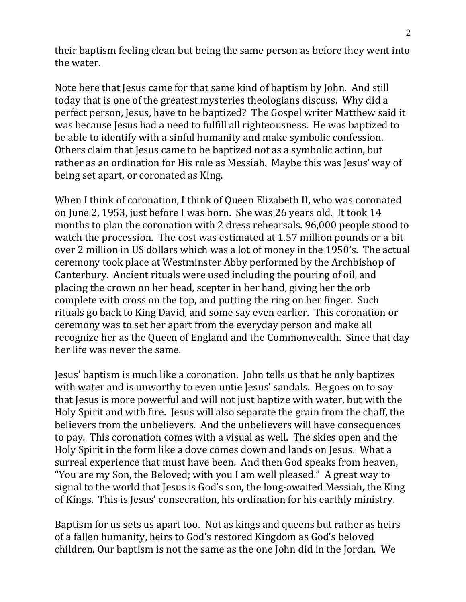their baptism feeling clean but being the same person as before they went into the water.

Note here that Jesus came for that same kind of baptism by John. And still today that is one of the greatest mysteries theologians discuss. Why did a perfect person, Jesus, have to be baptized? The Gospel writer Matthew said it was because Jesus had a need to fulfill all righteousness. He was baptized to be able to identify with a sinful humanity and make symbolic confession. Others claim that Jesus came to be baptized not as a symbolic action, but rather as an ordination for His role as Messiah. Maybe this was Jesus' way of being set apart, or coronated as King.

When I think of coronation, I think of Queen Elizabeth II, who was coronated on June 2, 1953, just before I was born. She was 26 years old. It took 14 months to plan the coronation with 2 dress rehearsals. 96,000 people stood to watch the procession. The cost was estimated at 1.57 million pounds or a bit over 2 million in US dollars which was a lot of money in the 1950's. The actual ceremony took place at Westminster Abby performed by the Archbishop of Canterbury. Ancient rituals were used including the pouring of oil, and placing the crown on her head, scepter in her hand, giving her the orb complete with cross on the top, and putting the ring on her finger. Such rituals go back to King David, and some say even earlier. This coronation or ceremony was to set her apart from the everyday person and make all recognize her as the Queen of England and the Commonwealth. Since that day her life was never the same.

Jesus' baptism is much like a coronation. John tells us that he only baptizes with water and is unworthy to even untie Jesus' sandals. He goes on to say that Jesus is more powerful and will not just baptize with water, but with the Holy Spirit and with fire. Jesus will also separate the grain from the chaff, the believers from the unbelievers. And the unbelievers will have consequences to pay. This coronation comes with a visual as well. The skies open and the Holy Spirit in the form like a dove comes down and lands on Jesus. What a surreal experience that must have been. And then God speaks from heaven, "You are my Son, the Beloved; with you I am well pleased." A great way to signal to the world that Jesus is God's son, the long-awaited Messiah, the King of Kings. This is Jesus' consecration, his ordination for his earthly ministry.

Baptism for us sets us apart too. Not as kings and queens but rather as heirs of a fallen humanity, heirs to God's restored Kingdom as God's beloved children. Our baptism is not the same as the one John did in the Jordan. We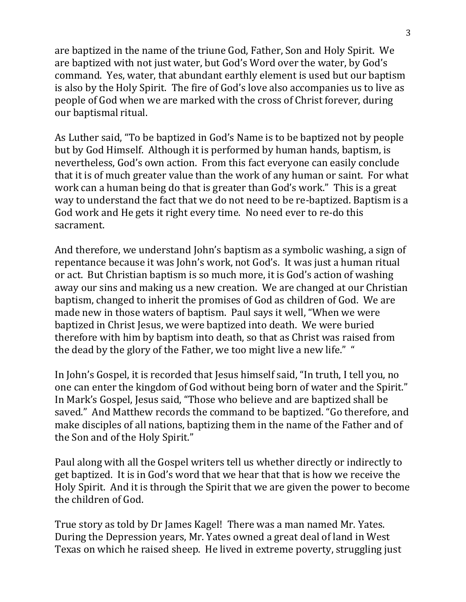are baptized in the name of the triune God, Father, Son and Holy Spirit. We are baptized with not just water, but God's Word over the water, by God's command. Yes, water, that abundant earthly element is used but our baptism is also by the Holy Spirit. The fire of God's love also accompanies us to live as people of God when we are marked with the cross of Christ forever, during our baptismal ritual.

As Luther said, "To be baptized in God's Name is to be baptized not by people but by God Himself. Although it is performed by human hands, baptism, is nevertheless, God's own action. From this fact everyone can easily conclude that it is of much greater value than the work of any human or saint. For what work can a human being do that is greater than God's work." This is a great way to understand the fact that we do not need to be re-baptized. Baptism is a God work and He gets it right every time. No need ever to re-do this sacrament.

And therefore, we understand John's baptism as a symbolic washing, a sign of repentance because it was John's work, not God's. It was just a human ritual or act. But Christian baptism is so much more, it is God's action of washing away our sins and making us a new creation. We are changed at our Christian baptism, changed to inherit the promises of God as children of God. We are made new in those waters of baptism. Paul says it well, "When we were baptized in Christ Jesus, we were baptized into death. We were buried therefore with him by baptism into death, so that as Christ was raised from the dead by the glory of the Father, we too might live a new life." "

In John's Gospel, it is recorded that Jesus himself said, "In truth, I tell you, no one can enter the kingdom of God without being born of water and the Spirit." In Mark's Gospel, Jesus said, "Those who believe and are baptized shall be saved." And Matthew records the command to be baptized. "Go therefore, and make disciples of all nations, baptizing them in the name of the Father and of the Son and of the Holy Spirit."

Paul along with all the Gospel writers tell us whether directly or indirectly to get baptized. It is in God's word that we hear that that is how we receive the Holy Spirit. And it is through the Spirit that we are given the power to become the children of God.

True story as told by Dr James Kagel! There was a man named Mr. Yates. During the Depression years, Mr. Yates owned a great deal of land in West Texas on which he raised sheep. He lived in extreme poverty, struggling just